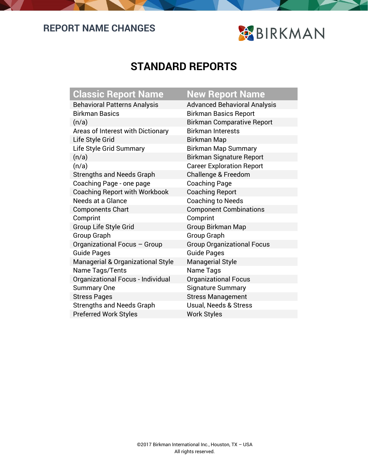## **REPORT NAME CHANGES**



## **STANDARD REPORTS**

| <b>Classic Report Name</b>                   | <b>New Repor</b>       |
|----------------------------------------------|------------------------|
| <b>Behavioral Patterns Analysis</b>          | <b>Advanced Beha</b>   |
| <b>Birkman Basics</b>                        | <b>Birkman Basics</b>  |
| (n/a)                                        | <b>Birkman Compa</b>   |
| Areas of Interest with Dictionary            | <b>Birkman Interes</b> |
| Life Style Grid                              | Birkman Map            |
| Life Style Grid Summary                      | Birkman Map S          |
| (n/a)                                        | <b>Birkman Signat</b>  |
| (n/a)                                        | <b>Career Explorat</b> |
| <b>Strengths and Needs Graph</b>             | Challenge & Fre        |
| Coaching Page - one page                     | <b>Coaching Page</b>   |
| <b>Coaching Report with Workbook</b>         | <b>Coaching Repo</b>   |
| Needs at a Glance                            | Coaching to Ne         |
| <b>Components Chart</b>                      | Component Co           |
| Comprint                                     | Comprint               |
| Group Life Style Grid                        | Group Birkman          |
| <b>Group Graph</b>                           | Group Graph            |
| Organizational Focus - Group                 | Group Organiza         |
| <b>Guide Pages</b>                           | <b>Guide Pages</b>     |
| <b>Managerial &amp; Organizational Style</b> | <b>Managerial Sty</b>  |
| Name Tags/Tents                              | Name Tags              |
| Organizational Focus - Individual            | Organizational         |
| <b>Summary One</b>                           | Signature Sum          |
| <b>Stress Pages</b>                          | <b>Stress Manage</b>   |
| <b>Strengths and Needs Graph</b>             | Usual, Needs &         |
| <b>Preferred Work Styles</b>                 | <b>Work Styles</b>     |

## **Port Name**

Behavioral Analysis asics Report omparative Report iterests ap Summary ignature Report Ioration Report & Freedom Report o Needs t Combinations man Map anizational Focus I Style onal Focus Summary agement ds & Stress